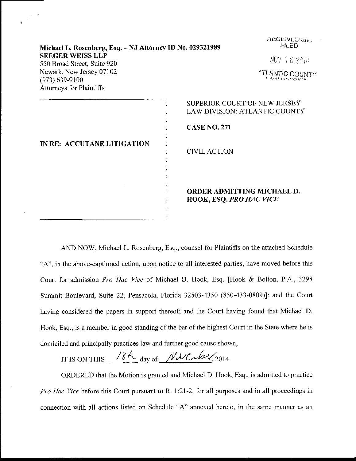| Michael L. Rosenberg, Esq. - NJ Attorney ID No. 029321989                  | ncucived and<br><b>FILED</b>                                         |
|----------------------------------------------------------------------------|----------------------------------------------------------------------|
| <b>SEEGER WEISS LLP</b><br>550 Broad Street, Suite 920                     | NOV 187014                                                           |
| Newark, New Jersey 07102<br>$(973) 639 - 9100$<br>Attorneys for Plaintiffs | <b><i>"TLANTIC COUNTY</i></b>                                        |
|                                                                            | SUPERIOR COURT OF NEW JERSEY<br><b>LAW DIVISION: ATLANTIC COUNTY</b> |
| IN RE: ACCUTANE LITIGATION                                                 | <b>CASE NO. 271</b>                                                  |
|                                                                            | <b>CIVIL ACTION</b>                                                  |
|                                                                            | ORDER ADMITTING MICHAEL D.<br><b>HOOK, ESQ. PRO HAC VICE</b>         |

 $\frac{1}{2}$ 

.<br>Heulis al Maria e all'inse

AND NOW, Michael L. Rosenberg, Esq., counsel for Plaintiffs on the attached Schedule "A", in the above-captioned action, upon notice to all interested parties, have moved before this Court for admission Pro Hac Vice of Michael D. Hook, Esq. [Hook & Bolton, P.A., <sup>3298</sup> Summit Boulevard, Suite 22, Pensacola, Florida 32503-4350 (850-433-0809)]; and the Court having considered the papers in support thereof; and the Court having found that Michael D. Hook, Esq., is a member in good standing of the bar of the highest Court in the State where he is domiciled and principally practices law and further good cause shown,

IT IS ON THIS  $18K$  day of  $N$ NCaby, 2014

ORDERED that the Motion is granted and Michael D. Hook, Esq., is admitted to practice Pro Hac Vice before this Court pursuant to R. 1:21-2, for all purposes and in all proceedings in comection with all actions listed on Schedule "A" annexed hereto. in the same manner as an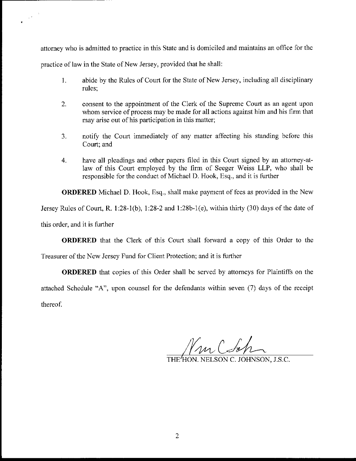attorney who is admitted to practice in this State and is domiciled and maintains an office for the practice of law in the State of New Jersey, provided that he shall:

- 1. abide by the Rules of Court for the State of New Jersey, including all disciplinary rules;
- 2. consent to the appointment of the Clerk of the Supreme Court as an agent upon whom service of process may be made for all actions against him and his firm that may arise out of his participation in this matter;
- 3. notify the Court immediately of any matter affecting his standing before this court; and
- 4. have all pleadings and other papers frled in this Court signed by an attorney-atlaw of this Court employed by the firm of Seeger Weiss LLP, who shall be responsible for the conduct of Michael D. Hook, Esq., and it is further

ORDERED Michael D. Hook, Esq., shall make payment of fees as provided in the New

Jersey Rules of Court, R. l:28-1(b), 1:28-2 and 1:28b-1(e), within thirty (30) days of the date of

this order, and it is further

 $\frac{1}{2}e^{-\frac{1}{2}}$ 

ORDERED that the Clerk of this Court shall forward a copy of this Order to the

Treasurer of the New Jersey Fund for Client Protection; and it is further

ORDERED that copies of this Order shall be served by attorneys for Plaintiffs on the attached Schedule "A", upon counsel for the defendants within seven (7) days of the receipt thereof.

Vm (So,

THE HON. NELSON C. JOHNSON, J.S.C.